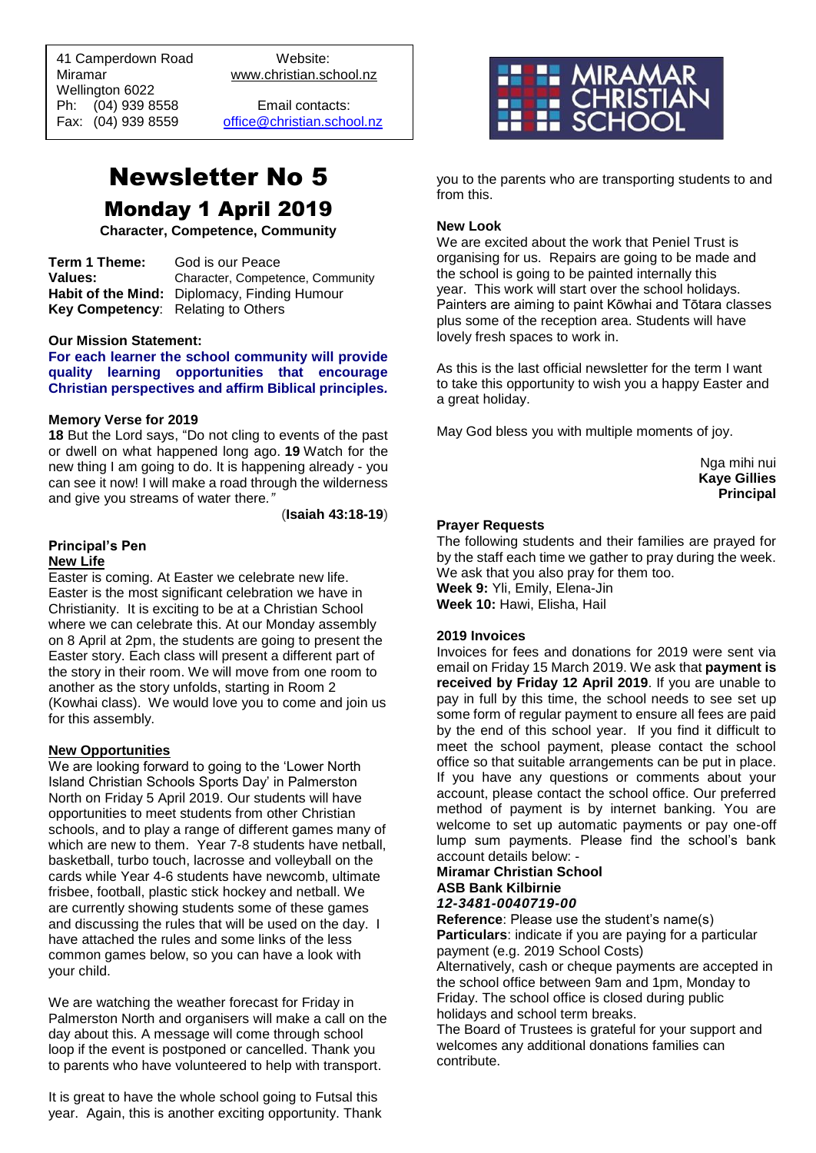41 Camperdown Road Website:<br>Miramar Www.christian.so Wellington 6022 Ph: (04) 939 8558 Email contacts:

 $\overline{a}$ 

www.christian.school.nz

Fax: (04) 939 8559 [office@christian.school.nz](mailto:office@christian.school.nz)

## Newsletter No 5 Monday 1 April 2019

**Character, Competence, Community**

**Term 1 Theme:** God is our Peace **Values:** Character, Competence, Community **Habit of the Mind:** Diplomacy, Finding Humour **Key Competency**: Relating to Others

#### **Our Mission Statement:**

**For each learner the school community will provide quality learning opportunities that encourage Christian perspectives and affirm Biblical principles***.*

#### **Memory Verse for 2019**

**18** But the Lord says, "Do not cling to events of the past or dwell on what happened long ago. **19** Watch for the new thing I am going to do. It is happening already - you can see it now! I will make a road through the wilderness and give you streams of water there*."*

(**Isaiah 43:18-19**)

#### **Principal's Pen**

#### **New Life**

Easter is coming. At Easter we celebrate new life. Easter is the most significant celebration we have in Christianity. It is exciting to be at a Christian School where we can celebrate this. At our Monday assembly on 8 April at 2pm, the students are going to present the Easter story. Each class will present a different part of the story in their room. We will move from one room to another as the story unfolds, starting in Room 2 (Kowhai class). We would love you to come and join us for this assembly.

#### **New Opportunities**

We are looking forward to going to the 'Lower North Island Christian Schools Sports Day' in Palmerston North on Friday 5 April 2019. Our students will have opportunities to meet students from other Christian schools, and to play a range of different games many of which are new to them. Year 7-8 students have netball, basketball, turbo touch, lacrosse and volleyball on the cards while Year 4-6 students have newcomb, ultimate frisbee, football, plastic stick hockey and netball. We are currently showing students some of these games and discussing the rules that will be used on the day. I have attached the rules and some links of the less common games below, so you can have a look with your child.

We are watching the weather forecast for Friday in Palmerston North and organisers will make a call on the day about this. A message will come through school loop if the event is postponed or cancelled. Thank you to parents who have volunteered to help with transport.

It is great to have the whole school going to Futsal this year. Again, this is another exciting opportunity. Thank



you to the parents who are transporting students to and from this.

#### **New Look**

We are excited about the work that Peniel Trust is organising for us. Repairs are going to be made and the school is going to be painted internally this year. This work will start over the school holidays. Painters are aiming to paint Kōwhai and Tōtara classes plus some of the reception area. Students will have lovely fresh spaces to work in.

As this is the last official newsletter for the term I want to take this opportunity to wish you a happy Easter and a great holiday.

May God bless you with multiple moments of joy.

Nga mihi nui **Kaye Gillies Principal**

#### **Prayer Requests**

The following students and their families are prayed for by the staff each time we gather to pray during the week. We ask that you also pray for them too. **Week 9:** Yli, Emily, Elena-Jin **Week 10:** Hawi, Elisha, Hail

## **2019 Invoices**

Invoices for fees and donations for 2019 were sent via email on Friday 15 March 2019. We ask that **payment is received by Friday 12 April 2019**. If you are unable to pay in full by this time, the school needs to see set up some form of regular payment to ensure all fees are paid by the end of this school year. If you find it difficult to meet the school payment, please contact the school office so that suitable arrangements can be put in place. If you have any questions or comments about your account, please contact the school office. Our preferred method of payment is by internet banking. You are welcome to set up automatic payments or pay one-off lump sum payments. Please find the school's bank account details below: -

## **Miramar Christian School ASB Bank Kilbirnie**

*12-3481-0040719-00*

**Reference**: Please use the student's name(s) **Particulars**: indicate if you are paying for a particular payment (e.g. 2019 School Costs) Alternatively, cash or cheque payments are accepted in

the school office between 9am and 1pm, Monday to Friday. The school office is closed during public holidays and school term breaks.

The Board of Trustees is grateful for your support and welcomes any additional donations families can contribute.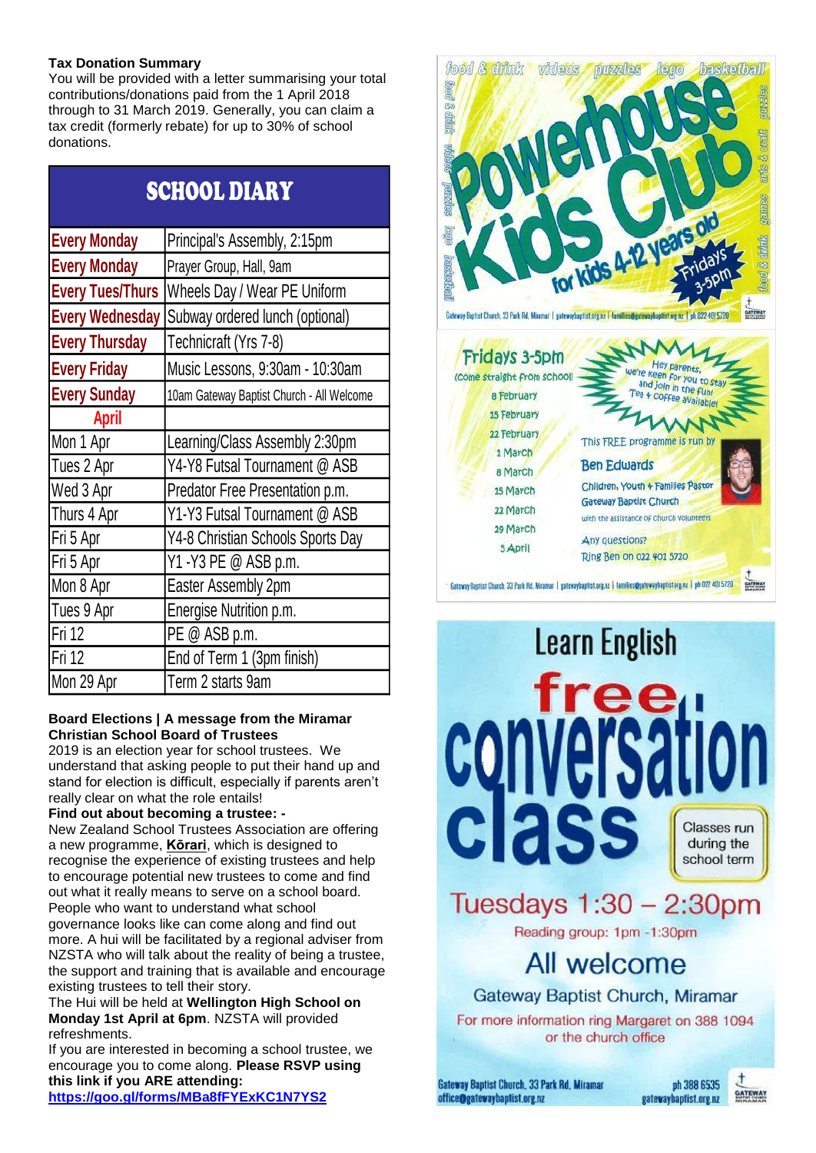## **Tax Donation Summary**

You will be provided with a letter summarising your total contributions/donations paid from the 1 April 2018 through to 31 March 2019. Generally, you can claim a tax credit (formerly rebate) for up to 30% of school donations.

| <b>SCHOOL DIARY</b>     |                                           |
|-------------------------|-------------------------------------------|
| <b>Every Monday</b>     | Principal's Assembly, 2:15pm              |
| <b>Every Monday</b>     | Prayer Group, Hall, 9am                   |
| <b>Every Tues/Thurs</b> | Wheels Day / Wear PE Uniform              |
| <b>Every Wednesday</b>  | Subway ordered lunch (optional)           |
| <b>Every Thursday</b>   | Technicraft (Yrs 7-8)                     |
| <b>Every Friday</b>     | Music Lessons, 9:30am - 10:30am           |
| <b>Every Sunday</b>     | 10am Gateway Baptist Church - All Welcome |
| <b>April</b>            |                                           |
| Mon 1 Apr               | Learning/Class Assembly 2:30pm            |
| Tues 2 Apr              | Y4-Y8 Futsal Tournament @ ASB             |
| Wed 3 Apr               | Predator Free Presentation p.m.           |
| Thurs 4 Apr             | Y1-Y3 Futsal Tournament @ ASB             |
| Fri 5 Apr               | Y4-8 Christian Schools Sports Day         |
| Fri 5 Apr               | Y1 - Y3 PE @ ASB p.m.                     |
| Mon 8 Apr               | Easter Assembly 2pm                       |
| Tues 9 Apr              | Energise Nutrition p.m.                   |
| <b>Fri 12</b>           | PE @ ASB p.m.                             |
| Fri 12                  | End of Term 1 (3pm finish)                |
| Mon 29 Apr              | Term 2 starts 9am                         |

## **Board Elections | A message from the Miramar Christian School Board of Trustees**

2019 is an election year for school trustees. We understand that asking people to put their hand up and stand for election is difficult, especially if parents aren't really clear on what the role entails!

## **Find out about becoming a trustee: -**

New Zealand School Trustees Association are offering a new programme, **[Kōrari](http://www.whs.school.nz/wp-content/uploads/Korari-event-flyer_Wellington.pdf)**, which is designed to recognise the experience of existing trustees and help to encourage potential new trustees to come and find out what it really means to serve on a school board. People who want to understand what school governance looks like can come along and find out more. A hui will be facilitated by a regional adviser from NZSTA who will talk about the reality of being a trustee, the support and training that is available and encourage existing trustees to tell their story.

The Hui will be held at **Wellington High School on Monday 1st April at 6pm**. NZSTA will provided refreshments.

If you are interested in becoming a school trustee, we encourage you to come along. **Please RSVP using this link if you ARE attending:**



**<https://goo.gl/forms/MBa8fFYExKC1N7YS2>**





Gateway Baptist Church, Miramar

For more information ring Margaret on 388 1094 or the church office

Gateway Baptist Church, 33 Park Rd, Miramar office@gatewaybaptist.org.nz

ph 388 6535 gatewaybaptist.org.nz

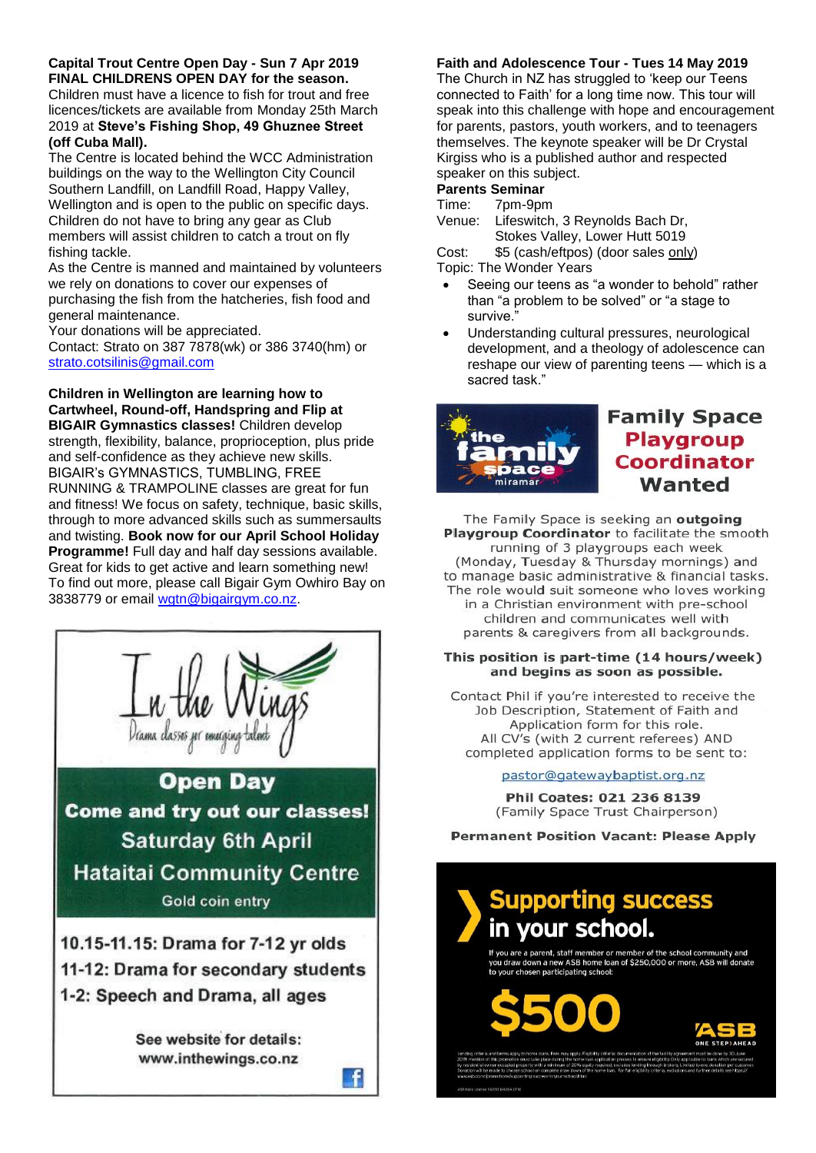#### **Capital Trout Centre Open Day - Sun 7 Apr 2019 FINAL CHILDRENS OPEN DAY for the season.**

Children must have a licence to fish for trout and free licences/tickets are available from Monday 25th March 2019 at **Steve's Fishing Shop, 49 Ghuznee Street (off Cuba Mall).** 

The Centre is located behind the WCC Administration buildings on the way to the Wellington City Council Southern Landfill, on Landfill Road, Happy Valley, Wellington and is open to the public on specific days. Children do not have to bring any gear as Club members will assist children to catch a trout on fly fishing tackle.

As the Centre is manned and maintained by volunteers we rely on donations to cover our expenses of purchasing the fish from the hatcheries, fish food and general maintenance.

Your donations will be appreciated.

Contact: Strato on 387 7878(wk) or 386 3740(hm) or [strato.cotsilinis@gmail.com](mailto:strato.cotsilinis@gmail.com)

**Children in Wellington are learning how to Cartwheel, Round-off, Handspring and Flip at BIGAIR Gymnastics classes!** Children develop strength, flexibility, balance, proprioception, plus pride and self-confidence as they achieve new skills. BIGAIR's GYMNASTICS, TUMBLING, FREE RUNNING & TRAMPOLINE classes are great for fun and fitness! We focus on safety, technique, basic skills, through to more advanced skills such as summersaults and twisting. **Book now for our April School Holiday Programme!** Full day and half day sessions available. Great for kids to get active and learn something new! To find out more, please call Bigair Gym Owhiro Bay on 3838779 or email [wgtn@bigairgym.co.nz.](mailto:wgtn@bigairgym.co.nz)



See website for details: www.inthewings.co.nz

f

## **Faith and Adolescence Tour - Tues 14 May 2019**

The Church in NZ has struggled to 'keep our Teens connected to Faith' for a long time now. This tour will speak into this challenge with hope and encouragement for parents, pastors, youth workers, and to teenagers themselves. The keynote speaker will be Dr Crystal Kirgiss who is a published author and respected speaker on this subject.

#### **Parents Seminar**

Time: 7pm-9pm

Venue: Lifeswitch, 3 Reynolds Bach Dr, Stokes Valley, Lower Hutt 5019

Cost: \$5 (cash/eftpos) (door sales only)

Topic: The Wonder Years

- Seeing our teens as "a wonder to behold" rather than "a problem to be solved" or "a stage to survive."
- Understanding cultural pressures, neurological development, and a theology of adolescence can reshape our view of parenting teens — which is a sacred task."



## **Family Space Playgroup Coordinator** Wanted

The Family Space is seeking an outgoing Playgroup Coordinator to facilitate the smooth running of 3 playgroups each week (Monday, Tuesday & Thursday mornings) and to manage basic administrative & financial tasks. The role would suit someone who loves working in a Christian environment with pre-school children and communicates well with parents & caregivers from all backgrounds.

#### This position is part-time (14 hours/week) and begins as soon as possible.

Contact Phil if you're interested to receive the Job Description, Statement of Faith and Application form for this role. All CV's (with 2 current referees) AND completed application forms to be sent to:

pastor@gatewaybaptist.org.nz

Phil Coates: 021 236 8139 (Family Space Trust Chairperson)

**Permanent Position Vacant: Please Apply** 

# **Supporting success** in your school.

f you are a parent, staff member or member of the school community and<br>rou draw down a new ASB home Ioan of \$250,000 or more, ASB will donate<br>o your chosen participating school:

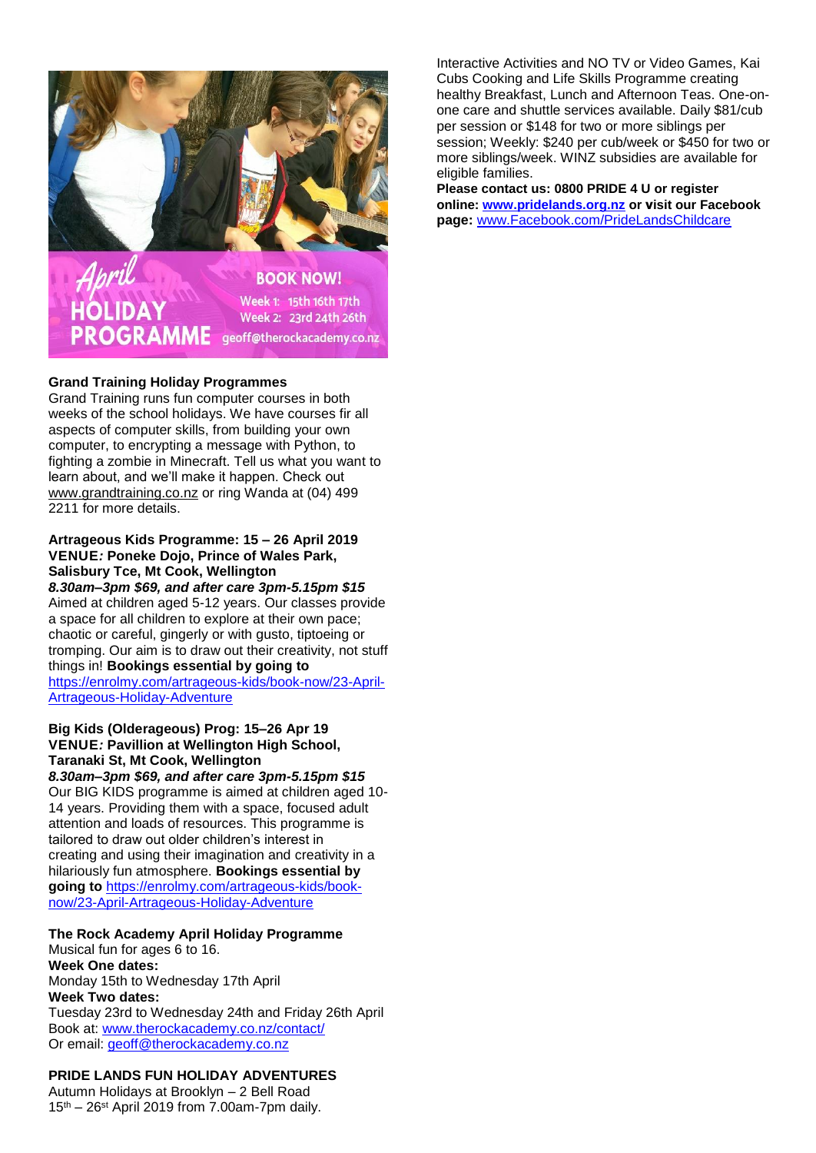

#### **Grand Training Holiday Programmes**

Grand Training runs fun computer courses in both weeks of the school holidays. We have courses fir all aspects of computer skills, from building your own computer, to encrypting a message with Python, to fighting a zombie in Minecraft. Tell us what you want to learn about, and we'll make it happen. Check out [www.grandtraining.co.nz](http://www.grandtraining.co.nz/) or ring Wanda at (04) 499 2211 for more details.

#### **Artrageous Kids Programme: 15 – 26 April 2019 VENUE***:* **Poneke Dojo, Prince of Wales Park, Salisbury Tce, Mt Cook, Wellington**

*8.30am–3pm \$69, and after care 3pm-5.15pm \$15* Aimed at children aged 5-12 years. Our classes provide a space for all children to explore at their own pace; chaotic or careful, gingerly or with gusto, tiptoeing or tromping. Our aim is to draw out their creativity, not stuff things in! **Bookings essential by going to**  [https://enrolmy.com/artrageous-kids/book-now/23-April-](https://enrolmy.com/artrageous-kids/book-now/23-April-Artrageous-Holiday-Adventure)[Artrageous-Holiday-Adventure](https://enrolmy.com/artrageous-kids/book-now/23-April-Artrageous-Holiday-Adventure)

## **Big Kids (Olderageous) Prog: 15–26 Apr 19 VENUE***:* **Pavillion at Wellington High School, Taranaki St, Mt Cook, Wellington**

*8.30am–3pm \$69, and after care 3pm-5.15pm \$15* Our BIG KIDS programme is aimed at children aged 10- 14 years. Providing them with a space, focused adult attention and loads of resources. This programme is tailored to draw out older children's interest in creating and using their imagination and creativity in a hilariously fun atmosphere. **Bookings essential by going to** [https://enrolmy.com/artrageous-kids/book](https://enrolmy.com/artrageous-kids/book-now/23-April-Artrageous-Holiday-Adventure)[now/23-April-Artrageous-Holiday-Adventure](https://enrolmy.com/artrageous-kids/book-now/23-April-Artrageous-Holiday-Adventure)

## **The Rock Academy April Holiday Programme**

Musical fun for ages 6 to 16. **Week One dates:** Monday 15th to Wednesday 17th April **Week Two dates:** Tuesday 23rd to Wednesday 24th and Friday 26th April Book at: [www.therockacademy.co.nz/contact/](http://www.therockacademy.co.nz/contact/) Or email: [geoff@therockacademy.co.nz](mailto:geoff@therockacademy.co.nz)

## **PRIDE LANDS FUN HOLIDAY ADVENTURES**

Autumn Holidays at Brooklyn – 2 Bell Road  $15<sup>th</sup> - 26<sup>st</sup>$  April 2019 from 7.00am-7pm daily.

Interactive Activities and NO TV or Video Games, Kai Cubs Cooking and Life Skills Programme creating healthy Breakfast, Lunch and Afternoon Teas. One-onone care and shuttle services available. Daily \$81/cub per session or \$148 for two or more siblings per session; Weekly: \$240 per cub/week or \$450 for two or more siblings/week. WINZ subsidies are available for eligible families.

**Please contact us: 0800 PRIDE 4 U or register online: [www.pridelands.org.nz](http://www.pridelands.org.nz/) or visit our Facebook page:** [www.Facebook.com/PrideLandsChildcare](http://www.facebook.com/PrideLandsChildcare)